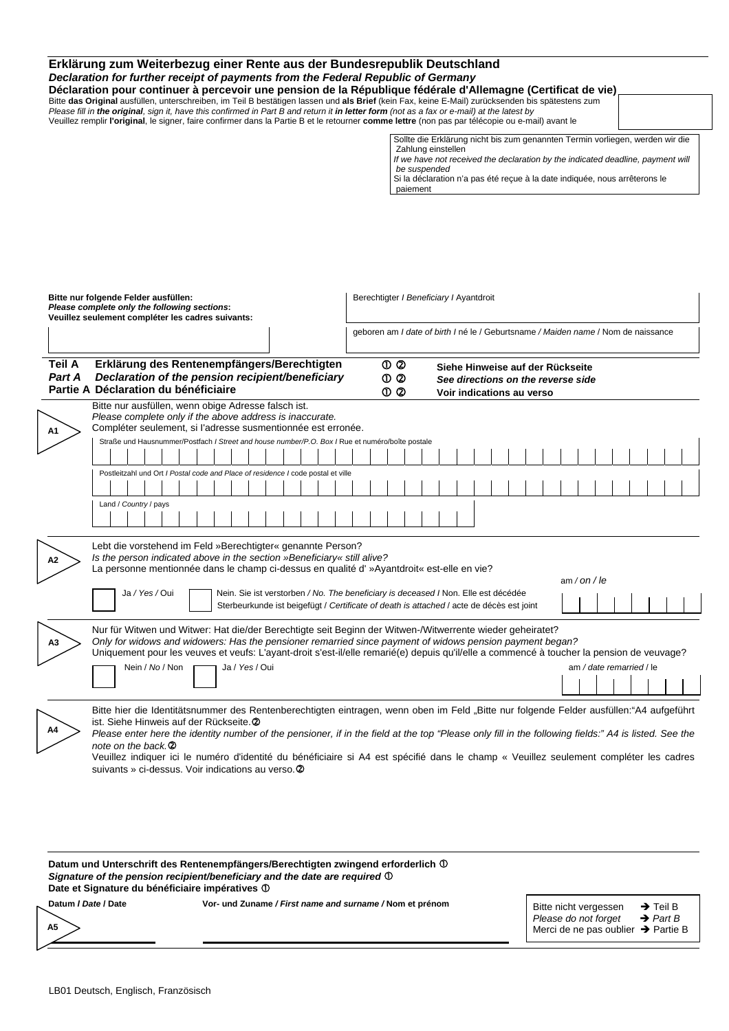| Erklärung zum Weiterbezug einer Rente aus der Bundesrepublik Deutschland<br>Declaration for further receipt of payments from the Federal Republic of Germany<br>Déclaration pour continuer à percevoir une pension de la République fédérale d'Allemagne (Certificat de vie)<br>Bitte das Original ausfüllen, unterschreiben, im Teil B bestätigen lassen und als Brief (kein Fax, keine E-Mail) zurücksenden bis spätestens zum<br>Please fill in the original, sign it, have this confirmed in Part B and return it in letter form (not as a fax or e-mail) at the latest by<br>Veuillez remplir l'original, le signer, faire confirmer dans la Partie B et le retourner comme lettre (non pas par télécopie ou e-mail) avant le |                                                                                                                                                                                                                                                                                                  |
|------------------------------------------------------------------------------------------------------------------------------------------------------------------------------------------------------------------------------------------------------------------------------------------------------------------------------------------------------------------------------------------------------------------------------------------------------------------------------------------------------------------------------------------------------------------------------------------------------------------------------------------------------------------------------------------------------------------------------------|--------------------------------------------------------------------------------------------------------------------------------------------------------------------------------------------------------------------------------------------------------------------------------------------------|
|                                                                                                                                                                                                                                                                                                                                                                                                                                                                                                                                                                                                                                                                                                                                    | Sollte die Erklärung nicht bis zum genannten Termin vorliegen, werden wir die<br>Zahlung einstellen<br>If we have not received the declaration by the indicated deadline, payment will<br>be suspended<br>Si la déclaration n'a pas été reçue à la date indiquée, nous arrêterons le<br>paiement |

| Bitte nur folgende Felder ausfüllen:<br>Please complete only the following sections:<br>Veuillez seulement compléter les cadres suivants: |                                                                                                                                                                                                                                                                                                                                                                                                                                                                                                                                                                             |  |                                                                                                 |  |  |  |                |  | Berechtigter / Beneficiary / Ayantdroit                                                  |  |  |  |  |  |  |                                                                                                     |  |  |  |  |  |  |  |  |  |  |              |  |  |  |                                                                                   |  |  |
|-------------------------------------------------------------------------------------------------------------------------------------------|-----------------------------------------------------------------------------------------------------------------------------------------------------------------------------------------------------------------------------------------------------------------------------------------------------------------------------------------------------------------------------------------------------------------------------------------------------------------------------------------------------------------------------------------------------------------------------|--|-------------------------------------------------------------------------------------------------|--|--|--|----------------|--|------------------------------------------------------------------------------------------|--|--|--|--|--|--|-----------------------------------------------------------------------------------------------------|--|--|--|--|--|--|--|--|--|--|--------------|--|--|--|-----------------------------------------------------------------------------------|--|--|
|                                                                                                                                           |                                                                                                                                                                                                                                                                                                                                                                                                                                                                                                                                                                             |  |                                                                                                 |  |  |  |                |  |                                                                                          |  |  |  |  |  |  |                                                                                                     |  |  |  |  |  |  |  |  |  |  |              |  |  |  | geboren am I date of birth I né le / Geburtsname / Maiden name / Nom de naissance |  |  |
| <b>Teil A</b><br>Part A                                                                                                                   | Erklärung des Rentenempfängers/Berechtigten<br>Declaration of the pension recipient/beneficiary<br>Partie A Déclaration du bénéficiaire                                                                                                                                                                                                                                                                                                                                                                                                                                     |  |                                                                                                 |  |  |  |                |  | $O$ $O$<br>$\mathbb{O}$ $\mathbb{O}$<br>$\mathbf{0} \mathbf{\Omega}$                     |  |  |  |  |  |  | Siehe Hinweise auf der Rückseite<br>See directions on the reverse side<br>Voir indications au verso |  |  |  |  |  |  |  |  |  |  |              |  |  |  |                                                                                   |  |  |
| A1                                                                                                                                        | Bitte nur ausfüllen, wenn obige Adresse falsch ist.<br>Please complete only if the above address is inaccurate.<br>Compléter seulement, si l'adresse susmentionnée est erronée.                                                                                                                                                                                                                                                                                                                                                                                             |  | Straße und Hausnummer/Postfach / Street and house number/P.O. Box / Rue et numéro/boîte postale |  |  |  |                |  |                                                                                          |  |  |  |  |  |  |                                                                                                     |  |  |  |  |  |  |  |  |  |  |              |  |  |  |                                                                                   |  |  |
|                                                                                                                                           |                                                                                                                                                                                                                                                                                                                                                                                                                                                                                                                                                                             |  |                                                                                                 |  |  |  |                |  |                                                                                          |  |  |  |  |  |  |                                                                                                     |  |  |  |  |  |  |  |  |  |  |              |  |  |  |                                                                                   |  |  |
|                                                                                                                                           |                                                                                                                                                                                                                                                                                                                                                                                                                                                                                                                                                                             |  | Postleitzahl und Ort / Postal code and Place of residence / code postal et ville                |  |  |  |                |  |                                                                                          |  |  |  |  |  |  |                                                                                                     |  |  |  |  |  |  |  |  |  |  |              |  |  |  |                                                                                   |  |  |
|                                                                                                                                           |                                                                                                                                                                                                                                                                                                                                                                                                                                                                                                                                                                             |  |                                                                                                 |  |  |  |                |  |                                                                                          |  |  |  |  |  |  |                                                                                                     |  |  |  |  |  |  |  |  |  |  |              |  |  |  |                                                                                   |  |  |
|                                                                                                                                           |                                                                                                                                                                                                                                                                                                                                                                                                                                                                                                                                                                             |  | Land / Country / pays                                                                           |  |  |  |                |  |                                                                                          |  |  |  |  |  |  |                                                                                                     |  |  |  |  |  |  |  |  |  |  |              |  |  |  |                                                                                   |  |  |
| A2                                                                                                                                        | Lebt die vorstehend im Feld »Berechtigter« genannte Person?<br>Is the person indicated above in the section »Beneficiary« still alive?<br>La personne mentionnée dans le champ ci-dessus en qualité d' »Ayantdroit« est-elle en vie?                                                                                                                                                                                                                                                                                                                                        |  | Ja / Yes / Oui                                                                                  |  |  |  |                |  | Nein. Sie ist verstorben / No. The beneficiary is deceased / Non. Elle est décédée       |  |  |  |  |  |  |                                                                                                     |  |  |  |  |  |  |  |  |  |  | am / on / le |  |  |  |                                                                                   |  |  |
|                                                                                                                                           |                                                                                                                                                                                                                                                                                                                                                                                                                                                                                                                                                                             |  |                                                                                                 |  |  |  |                |  | Sterbeurkunde ist beigefügt / Certificate of death is attached / acte de décès est joint |  |  |  |  |  |  |                                                                                                     |  |  |  |  |  |  |  |  |  |  |              |  |  |  |                                                                                   |  |  |
| А3                                                                                                                                        | Nur für Witwen und Witwer: Hat die/der Berechtigte seit Beginn der Witwen-/Witwerrente wieder geheiratet?<br>Only for widows and widowers: Has the pensioner remarried since payment of widows pension payment began?<br>Uniquement pour les veuves et veufs: L'ayant-droit s'est-il/elle remarié(e) depuis qu'il/elle a commencé à toucher la pension de veuvage?                                                                                                                                                                                                          |  |                                                                                                 |  |  |  |                |  |                                                                                          |  |  |  |  |  |  |                                                                                                     |  |  |  |  |  |  |  |  |  |  |              |  |  |  |                                                                                   |  |  |
|                                                                                                                                           |                                                                                                                                                                                                                                                                                                                                                                                                                                                                                                                                                                             |  | Nein / No / Non                                                                                 |  |  |  | Ja / Yes / Oui |  |                                                                                          |  |  |  |  |  |  |                                                                                                     |  |  |  |  |  |  |  |  |  |  |              |  |  |  | am / date remarried / le                                                          |  |  |
|                                                                                                                                           |                                                                                                                                                                                                                                                                                                                                                                                                                                                                                                                                                                             |  |                                                                                                 |  |  |  |                |  |                                                                                          |  |  |  |  |  |  |                                                                                                     |  |  |  |  |  |  |  |  |  |  |              |  |  |  |                                                                                   |  |  |
| A4                                                                                                                                        | Bitte hier die Identitätsnummer des Rentenberechtigten eintragen, wenn oben im Feld "Bitte nur folgende Felder ausfüllen:"A4 aufgeführt<br>ist. Siehe Hinweis auf der Rückseite. 2<br>Please enter here the identity number of the pensioner, if in the field at the top "Please only fill in the following fields:" A4 is listed. See the<br>note on the back. <sup>2</sup><br>Veuillez indiquer ici le numéro d'identité du bénéficiaire si A4 est spécifié dans le champ « Veuillez seulement compléter les cadres<br>suivants » ci-dessus. Voir indications au verso. 2 |  |                                                                                                 |  |  |  |                |  |                                                                                          |  |  |  |  |  |  |                                                                                                     |  |  |  |  |  |  |  |  |  |  |              |  |  |  |                                                                                   |  |  |

| Date et Signature du bénéficiaire impératives ① | Datum und Unterschrift des Rentenempfängers/Berechtigten zwingend erforderlich ①<br>Signature of the pension recipient/beneficiary and the date are required $\mathbb O$ |                                                                                                 |                                              |
|-------------------------------------------------|--------------------------------------------------------------------------------------------------------------------------------------------------------------------------|-------------------------------------------------------------------------------------------------|----------------------------------------------|
| Datum / Date / Date<br>A5                       | Vor- und Zuname / First name and surname / Nom et prénom                                                                                                                 | Bitte nicht vergessen<br>Please do not forget<br>Merci de ne pas oublier $\rightarrow$ Partie B | $\rightarrow$ Teil B<br>$\rightarrow$ Part B |